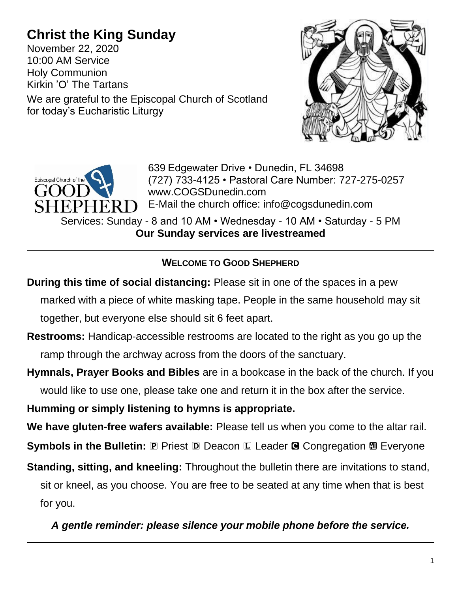# **Christ the King Sunday**

for today's Eucharistic Liturgy

November 22, 2020 10:00 AM Service Holy Communion Kirkin 'O' The Tartans We are grateful to the Episcopal Church of Scotland



639 Edgewater Drive • Dunedin, FL 34698 (727) 733-4125 • Pastoral Care Number: 727-275-0257 www.COGSDunedin.com E-Mail the church office: info@cogsdunedin.com

Services: Sunday - 8 and 10 AM • Wednesday - 10 AM • Saturday - 5 PM **Our Sunday services are livestreamed**

# **WELCOME TO GOOD SHEPHERD**

- **During this time of social distancing:** Please sit in one of the spaces in a pew marked with a piece of white masking tape. People in the same household may sit together, but everyone else should sit 6 feet apart.
- **Restrooms:** Handicap-accessible restrooms are located to the right as you go up the ramp through the archway across from the doors of the sanctuary.
- **Hymnals, Prayer Books and Bibles** are in a bookcase in the back of the church. If you would like to use one, please take one and return it in the box after the service.

**Humming or simply listening to hymns is appropriate.**

**We have gluten-free wafers available:** Please tell us when you come to the altar rail.

**Symbols in the Bulletin: <b>P** Priest **D** Deacon **L** Leader **G** Congregation **M** Everyone

**Standing, sitting, and kneeling:** Throughout the bulletin there are invitations to stand,

sit or kneel, as you choose. You are free to be seated at any time when that is best for you.

*A gentle reminder: please silence your mobile phone before the service.*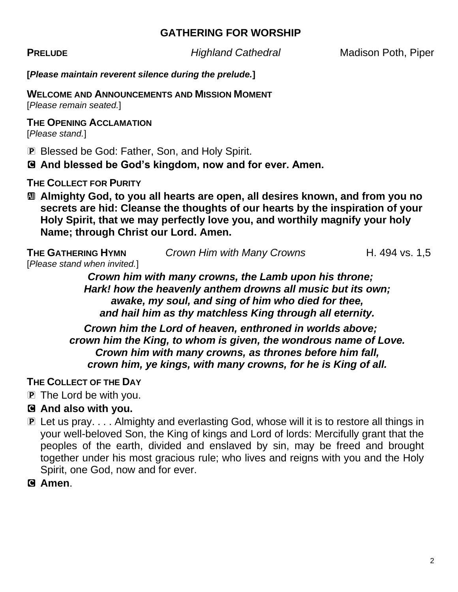#### **GATHERING FOR WORSHIP**

**PRELUDE** *Highland Cathedral* Madison Poth, Piper

**[***Please maintain reverent silence during the prelude.***]**

#### **WELCOME AND ANNOUNCEMENTS AND MISSION MOMENT**

[*Please remain seated.*]

#### **THE OPENING ACCLAMATION**

[*Please stand.*]

P Blessed be God: Father, Son, and Holy Spirit.

C **And blessed be God's kingdom, now and for ever. Amen.**

**THE COLLECT FOR PURITY**

a **Almighty God, to you all hearts are open, all desires known, and from you no secrets are hid: Cleanse the thoughts of our hearts by the inspiration of your Holy Spirit, that we may perfectly love you, and worthily magnify your holy Name; through Christ our Lord. Amen.**

**THE GATHERING HYMN** *Crown Him with Many Crowns* **H. 494 vs. 1,5** [*Please stand when invited.*]

> *Crown him with many crowns, the Lamb upon his throne; Hark! how the heavenly anthem drowns all music but its own; awake, my soul, and sing of him who died for thee, and hail him as thy matchless King through all eternity.*

*Crown him the Lord of heaven, enthroned in worlds above; crown him the King, to whom is given, the wondrous name of Love. Crown him with many crowns, as thrones before him fall, crown him, ye kings, with many crowns, for he is King of all.*

#### **THE COLLECT OF THE DAY**

- P The Lord be with you.
- C **And also with you.**
- P Let us pray. . . . Almighty and everlasting God, whose will it is to restore all things in your well-beloved Son, the King of kings and Lord of lords: Mercifully grant that the peoples of the earth, divided and enslaved by sin, may be freed and brought together under his most gracious rule; who lives and reigns with you and the Holy Spirit, one God, now and for ever.

C **Amen**.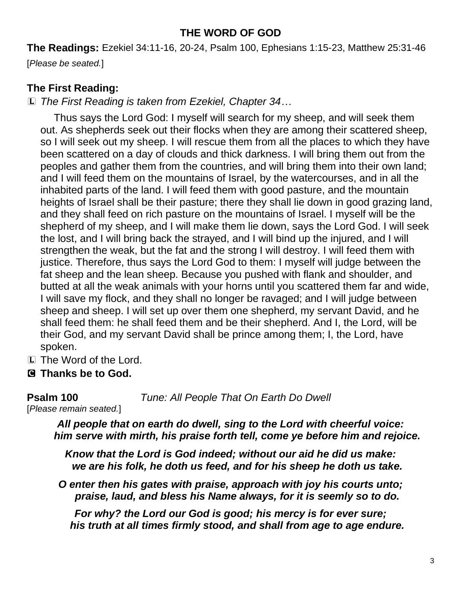#### **THE WORD OF GOD**

**The Readings:** Ezekiel 34:11-16, 20-24, Psalm 100, Ephesians 1:15-23, Matthew 25:31-46

[*Please be seated.*]

# **The First Reading:**

L *The First Reading is taken from Ezekiel, Chapter 34…*

Thus says the Lord God: I myself will search for my sheep, and will seek them out. As shepherds seek out their flocks when they are among their scattered sheep, so I will seek out my sheep. I will rescue them from all the places to which they have been scattered on a day of clouds and thick darkness. I will bring them out from the peoples and gather them from the countries, and will bring them into their own land; and I will feed them on the mountains of Israel, by the watercourses, and in all the inhabited parts of the land. I will feed them with good pasture, and the mountain heights of Israel shall be their pasture; there they shall lie down in good grazing land, and they shall feed on rich pasture on the mountains of Israel. I myself will be the shepherd of my sheep, and I will make them lie down, says the Lord God. I will seek the lost, and I will bring back the strayed, and I will bind up the injured, and I will strengthen the weak, but the fat and the strong I will destroy. I will feed them with justice. Therefore, thus says the Lord God to them: I myself will judge between the fat sheep and the lean sheep. Because you pushed with flank and shoulder, and butted at all the weak animals with your horns until you scattered them far and wide, I will save my flock, and they shall no longer be ravaged; and I will judge between sheep and sheep. I will set up over them one shepherd, my servant David, and he shall feed them: he shall feed them and be their shepherd. And I, the Lord, will be their God, and my servant David shall be prince among them; I, the Lord, have spoken.

- L The Word of the Lord.
- C **Thanks be to God.**

**Psalm 100** *Tune: All People That On Earth Do Dwell*

[*Please remain seated.*]

*All people that on earth do dwell, sing to the Lord with cheerful voice: him serve with mirth, his praise forth tell, come ye before him and rejoice.*

*Know that the Lord is God indeed; without our aid he did us make: we are his folk, he doth us feed, and for his sheep he doth us take.*

*O enter then his gates with praise, approach with joy his courts unto; praise, laud, and bless his Name always, for it is seemly so to do.*

*For why? the Lord our God is good; his mercy is for ever sure; his truth at all times firmly stood, and shall from age to age endure.*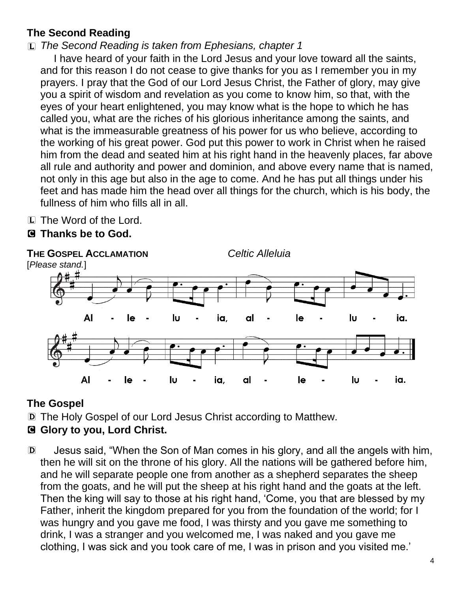# **The Second Reading**

# L *The Second Reading is taken from Ephesians, chapter 1*

I have heard of your faith in the Lord Jesus and your love toward all the saints, and for this reason I do not cease to give thanks for you as I remember you in my prayers. I pray that the God of our Lord Jesus Christ, the Father of glory, may give you a spirit of wisdom and revelation as you come to know him, so that, with the eyes of your heart enlightened, you may know what is the hope to which he has called you, what are the riches of his glorious inheritance among the saints, and what is the immeasurable greatness of his power for us who believe, according to the working of his great power. God put this power to work in Christ when he raised him from the dead and seated him at his right hand in the heavenly places, far above all rule and authority and power and dominion, and above every name that is named, not only in this age but also in the age to come. And he has put all things under his feet and has made him the head over all things for the church, which is his body, the fullness of him who fills all in all.

L The Word of the Lord.

# C **Thanks be to God.**



# **The Gospel**

D The Holy Gospel of our Lord Jesus Christ according to Matthew.

# C **Glory to you, Lord Christ.**

D Jesus said, "When the Son of Man comes in his glory, and all the angels with him, then he will sit on the throne of his glory. All the nations will be gathered before him, and he will separate people one from another as a shepherd separates the sheep from the goats, and he will put the sheep at his right hand and the goats at the left. Then the king will say to those at his right hand, 'Come, you that are blessed by my Father, inherit the kingdom prepared for you from the foundation of the world; for I was hungry and you gave me food, I was thirsty and you gave me something to drink, I was a stranger and you welcomed me, I was naked and you gave me clothing, I was sick and you took care of me, I was in prison and you visited me.'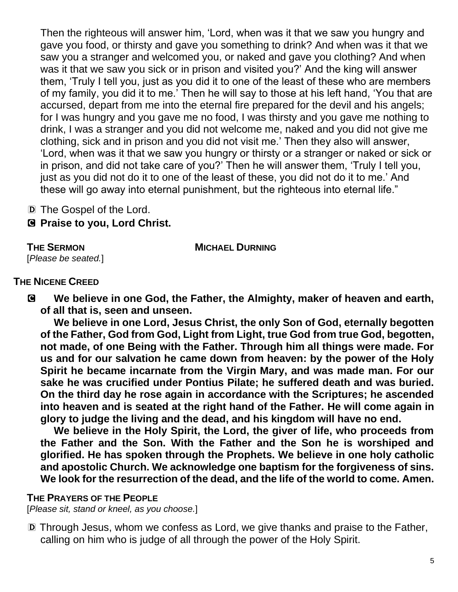Then the righteous will answer him, 'Lord, when was it that we saw you hungry and gave you food, or thirsty and gave you something to drink? And when was it that we saw you a stranger and welcomed you, or naked and gave you clothing? And when was it that we saw you sick or in prison and visited you?' And the king will answer them, 'Truly I tell you, just as you did it to one of the least of these who are members of my family, you did it to me.' Then he will say to those at his left hand, 'You that are accursed, depart from me into the eternal fire prepared for the devil and his angels; for I was hungry and you gave me no food, I was thirsty and you gave me nothing to drink, I was a stranger and you did not welcome me, naked and you did not give me clothing, sick and in prison and you did not visit me.' Then they also will answer, 'Lord, when was it that we saw you hungry or thirsty or a stranger or naked or sick or in prison, and did not take care of you?' Then he will answer them, 'Truly I tell you, just as you did not do it to one of the least of these, you did not do it to me.' And these will go away into eternal punishment, but the righteous into eternal life."

D The Gospel of the Lord.

C **Praise to you, Lord Christ.**

#### **THE SERMON MICHAEL DURNING**

[*Please be seated.*]

## **THE NICENE CREED**

C **We believe in one God, the Father, the Almighty, maker of heaven and earth, of all that is, seen and unseen.** 

**We believe in one Lord, Jesus Christ, the only Son of God, eternally begotten of the Father, God from God, Light from Light, true God from true God, begotten, not made, of one Being with the Father. Through him all things were made. For us and for our salvation he came down from heaven: by the power of the Holy Spirit he became incarnate from the Virgin Mary, and was made man. For our sake he was crucified under Pontius Pilate; he suffered death and was buried. On the third day he rose again in accordance with the Scriptures; he ascended into heaven and is seated at the right hand of the Father. He will come again in glory to judge the living and the dead, and his kingdom will have no end.**

**We believe in the Holy Spirit, the Lord, the giver of life, who proceeds from the Father and the Son. With the Father and the Son he is worshiped and glorified. He has spoken through the Prophets. We believe in one holy catholic and apostolic Church. We acknowledge one baptism for the forgiveness of sins. We look for the resurrection of the dead, and the life of the world to come. Amen.**

## **THE PRAYERS OF THE PEOPLE**

[*Please sit, stand or kneel, as you choose.*]

D Through Jesus, whom we confess as Lord, we give thanks and praise to the Father, calling on him who is judge of all through the power of the Holy Spirit.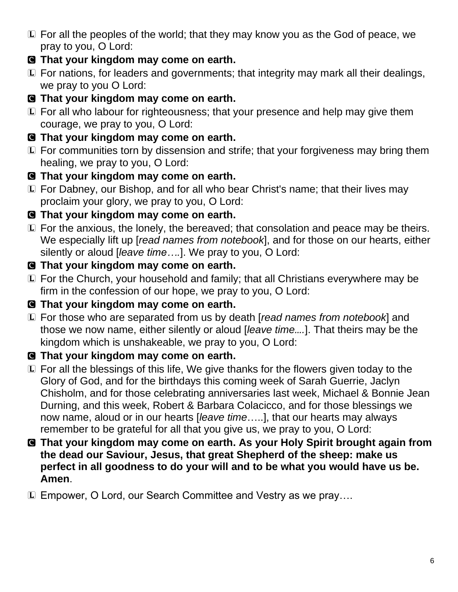- L For all the peoples of the world; that they may know you as the God of peace, we pray to you, O Lord:
- C **That your kingdom may come on earth.**
- L For nations, for leaders and governments; that integrity may mark all their dealings, we pray to you O Lord:
- C **That your kingdom may come on earth.**
- L For all who labour for righteousness; that your presence and help may give them courage, we pray to you, O Lord:
- C **That your kingdom may come on earth.**
- L For communities torn by dissension and strife; that your forgiveness may bring them healing, we pray to you, O Lord:
- C **That your kingdom may come on earth.**
- L For Dabney, our Bishop, and for all who bear Christ's name; that their lives may proclaim your glory, we pray to you, O Lord:
- C **That your kingdom may come on earth.**
- L For the anxious, the lonely, the bereaved; that consolation and peace may be theirs. We especially lift up [*read names from notebook*], and for those on our hearts, either silently or aloud [*leave time….*]. We pray to you, O Lord:
- C **That your kingdom may come on earth.**
- L For the Church, your household and family; that all Christians everywhere may be firm in the confession of our hope, we pray to you, O Lord:
- C **That your kingdom may come on earth.**
- L For those who are separated from us by death [*read names from notebook*] and those we now name, either silently or aloud [*leave time….*]. That theirs may be the kingdom which is unshakeable, we pray to you, O Lord:
- C **That your kingdom may come on earth.**
- L For all the blessings of this life, We give thanks for the flowers given today to the Glory of God, and for the birthdays this coming week of Sarah Guerrie, Jaclyn Chisholm, and for those celebrating anniversaries last week, Michael & Bonnie Jean Durning, and this week, Robert & Barbara Colacicco, and for those blessings we now name, aloud or in our hearts [*leave time*…..], that our hearts may always remember to be grateful for all that you give us, we pray to you, O Lord:
- C **That your kingdom may come on earth. As your Holy Spirit brought again from the dead our Saviour, Jesus, that great Shepherd of the sheep: make us perfect in all goodness to do your will and to be what you would have us be. Amen**.
- L Empower, O Lord, our Search Committee and Vestry as we pray….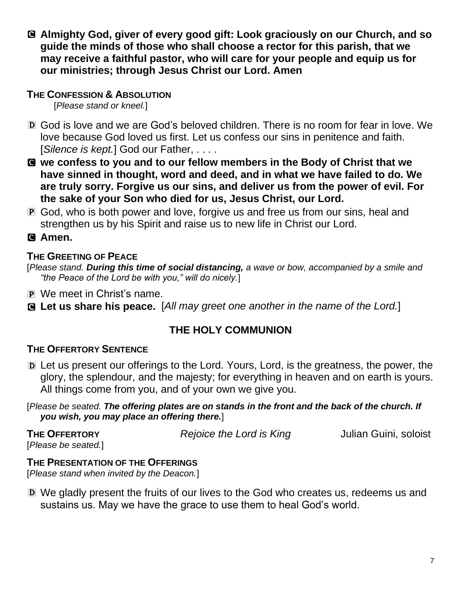C **Almighty God, giver of every good gift: Look graciously on our Church, and so guide the minds of those who shall choose a rector for this parish, that we may receive a faithful pastor, who will care for your people and equip us for our ministries; through Jesus Christ our Lord. Amen**

#### **THE CONFESSION & ABSOLUTION**

[*Please stand or kneel.*]

- D God is love and we are God's beloved children. There is no room for fear in love. We love because God loved us first. Let us confess our sins in penitence and faith. [*Silence is kept.*] God our Father, . . . .
- C **we confess to you and to our fellow members in the Body of Christ that we have sinned in thought, word and deed, and in what we have failed to do. We are truly sorry. Forgive us our sins, and deliver us from the power of evil. For the sake of your Son who died for us, Jesus Christ, our Lord.**
- P God, who is both power and love, forgive us and free us from our sins, heal and strengthen us by his Spirit and raise us to new life in Christ our Lord.

# C **Amen.**

## **THE GREETING OF PEACE**

[*Please stand. During this time of social distancing, a wave or bow, accompanied by a smile and "the Peace of the Lord be with you," will do nicely.*]

- P We meet in Christ's name.
- C **Let us share his peace.** [*All may greet one another in the name of the Lord.*]

# **THE HOLY COMMUNION**

## **THE OFFERTORY SENTENCE**

D Let us present our offerings to the Lord. Yours, Lord, is the greatness, the power, the glory, the splendour, and the majesty; for everything in heaven and on earth is yours. All things come from you, and of your own we give you.

#### [*Please be seated. The offering plates are on stands in the front and the back of the church. If you wish, you may place an offering there.*]

| <b>THE OFFERTORY</b> | Rejoice the Lord is King | Julian Guini, soloist |
|----------------------|--------------------------|-----------------------|
| [Please be seated.]  |                          |                       |

#### **THE PRESENTATION OF THE OFFERINGS**

[*Please stand when invited by the Deacon.*]

D We gladly present the fruits of our lives to the God who creates us, redeems us and sustains us. May we have the grace to use them to heal God's world.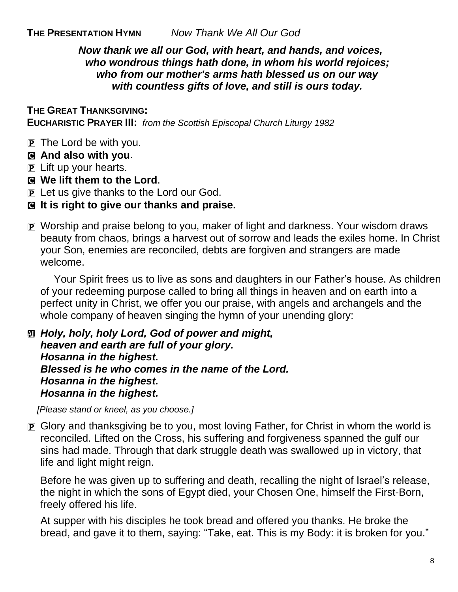**THE PRESENTATION HYMN** *Now Thank We All Our God*

*Now thank we all our God, with heart, and hands, and voices, who wondrous things hath done, in whom his world rejoices; who from our mother's arms hath blessed us on our way with countless gifts of love, and still is ours today.* 

#### **THE GREAT THANKSGIVING:**

**EUCHARISTIC PRAYER III:** *from the Scottish Episcopal Church Liturgy 1982*

- P The Lord be with you.
- C **And also with you**.
- P Lift up your hearts.
- C **We lift them to the Lord**.
- P Let us give thanks to the Lord our God.
- C **It is right to give our thanks and praise.**
- P Worship and praise belong to you, maker of light and darkness. Your wisdom draws beauty from chaos, brings a harvest out of sorrow and leads the exiles home. In Christ your Son, enemies are reconciled, debts are forgiven and strangers are made welcome.

Your Spirit frees us to live as sons and daughters in our Father's house. As children of your redeeming purpose called to bring all things in heaven and on earth into a perfect unity in Christ, we offer you our praise, with angels and archangels and the whole company of heaven singing the hymn of your unending glory:

a *Holy, holy, holy Lord, God of power and might, heaven and earth are full of your glory. Hosanna in the highest. Blessed is he who comes in the name of the Lord. Hosanna in the highest. Hosanna in the highest.*

*[Please stand or kneel, as you choose.]*

**P** Glory and thanksgiving be to you, most loving Father, for Christ in whom the world is reconciled. Lifted on the Cross, his suffering and forgiveness spanned the gulf our sins had made. Through that dark struggle death was swallowed up in victory, that life and light might reign.

Before he was given up to suffering and death, recalling the night of Israel's release, the night in which the sons of Egypt died, your Chosen One, himself the First-Born, freely offered his life.

At supper with his disciples he took bread and offered you thanks. He broke the bread, and gave it to them, saying: "Take, eat. This is my Body: it is broken for you."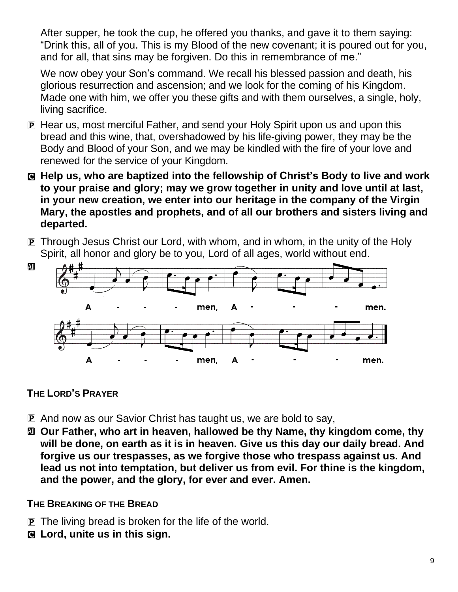After supper, he took the cup, he offered you thanks, and gave it to them saying: "Drink this, all of you. This is my Blood of the new covenant; it is poured out for you, and for all, that sins may be forgiven. Do this in remembrance of me."

We now obey your Son's command. We recall his blessed passion and death, his glorious resurrection and ascension; and we look for the coming of his Kingdom. Made one with him, we offer you these gifts and with them ourselves, a single, holy, living sacrifice.

- P Hear us, most merciful Father, and send your Holy Spirit upon us and upon this bread and this wine, that, overshadowed by his life-giving power, they may be the Body and Blood of your Son, and we may be kindled with the fire of your love and renewed for the service of your Kingdom.
- C **Help us, who are baptized into the fellowship of Christ's Body to live and work to your praise and glory; may we grow together in unity and love until at last, in your new creation, we enter into our heritage in the company of the Virgin Mary, the apostles and prophets, and of all our brothers and sisters living and departed.**
- P Through Jesus Christ our Lord, with whom, and in whom, in the unity of the Holy Spirit, all honor and glory be to you, Lord of all ages, world without end.



## **THE LORD'S PRAYER**

- P And now as our Savior Christ has taught us, we are bold to say,
- a **Our Father, who art in heaven, hallowed be thy Name, thy kingdom come, thy will be done, on earth as it is in heaven. Give us this day our daily bread. And forgive us our trespasses, as we forgive those who trespass against us. And lead us not into temptation, but deliver us from evil. For thine is the kingdom, and the power, and the glory, for ever and ever. Amen.**

## **THE BREAKING OF THE BREAD**

- P The living bread is broken for the life of the world.
- C **Lord, unite us in this sign.**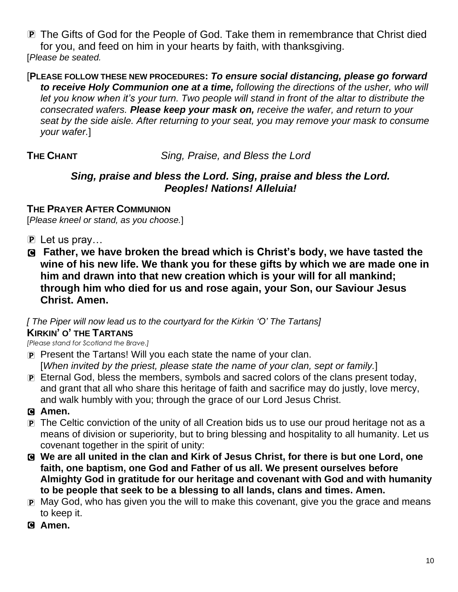P The Gifts of God for the People of God. Take them in remembrance that Christ died for you, and feed on him in your hearts by faith, with thanksgiving. [*Please be seated.* 

#### [**PLEASE FOLLOW THESE NEW PROCEDURES:** *To ensure social distancing, please go forward to receive Holy Communion one at a time, following the directions of the usher, who will let you know when it's your turn. Two people will stand in front of the altar to distribute the consecrated wafers. Please keep your mask on, receive the wafer, and return to your seat by the side aisle. After returning to your seat, you may remove your mask to consume your wafer.*]

**THE CHANT** *Sing, Praise, and Bless the Lord*

#### *Sing, praise and bless the Lord. Sing, praise and bless the Lord. Peoples! Nations! Alleluia!*

#### **THE PRAYER AFTER COMMUNION**

[*Please kneel or stand, as you choose.*]

- $\mathbf{P}$  Let us pray...
- C **Father, we have broken the bread which is Christ's body, we have tasted the wine of his new life. We thank you for these gifts by which we are made one in him and drawn into that new creation which is your will for all mankind; through him who died for us and rose again, your Son, our Saviour Jesus Christ. Amen.**

#### *[ The Piper will now lead us to the courtyard for the Kirkin 'O' The Tartans]* **KIRKIN' O' THE TARTANS**

*[Please stand for Scotland the Brave.]*

- P Present the Tartans! Will you each state the name of your clan. [*When invited by the priest, please state the name of your clan, sept or family.*]
- P Eternal God, bless the members, symbols and sacred colors of the clans present today, and grant that all who share this heritage of faith and sacrifice may do justly, love mercy, and walk humbly with you; through the grace of our Lord Jesus Christ.

## C **Amen.**

- P The Celtic conviction of the unity of all Creation bids us to use our proud heritage not as a means of division or superiority, but to bring blessing and hospitality to all humanity. Let us covenant together in the spirit of unity:
- C **We are all united in the clan and Kirk of Jesus Christ, for there is but one Lord, one faith, one baptism, one God and Father of us all. We present ourselves before Almighty God in gratitude for our heritage and covenant with God and with humanity to be people that seek to be a blessing to all lands, clans and times. Amen.**
- P May God, who has given you the will to make this covenant, give you the grace and means to keep it.
- C **Amen.**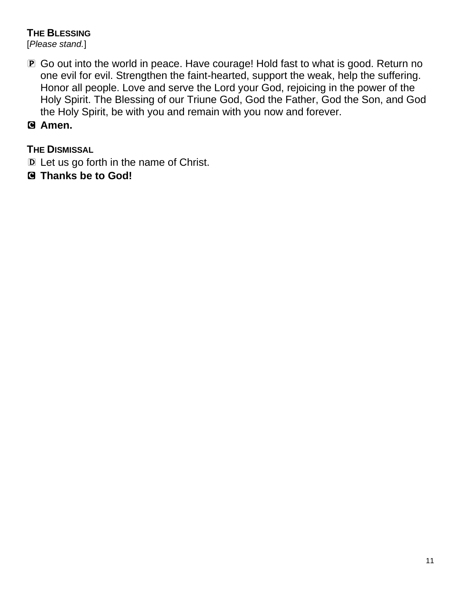#### **THE BLESSING**

[*Please stand.*]

- P Go out into the world in peace. Have courage! Hold fast to what is good. Return no one evil for evil. Strengthen the faint-hearted, support the weak, help the suffering. Honor all people. Love and serve the Lord your God, rejoicing in the power of the Holy Spirit. The Blessing of our Triune God, God the Father, God the Son, and God the Holy Spirit, be with you and remain with you now and forever.
- C **Amen.**

## **THE DISMISSAL**

- D Let us go forth in the name of Christ.
- C **Thanks be to God!**